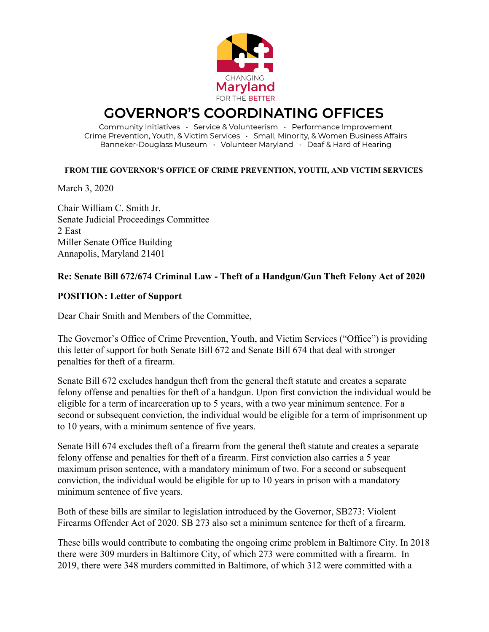

## **GOVERNOR'S COORDINATING OFFICES**

Community Initiatives · Service & Volunteerism · Performance Improvement Crime Prevention, Youth, & Victim Services · Small, Minority, & Women Business Affairs Banneker-Douglass Museum · Volunteer Maryland · Deaf & Hard of Hearing

## **FROM THE GOVERNOR'S OFFICE OF CRIME PREVENTION, YOUTH, AND VICTIM SERVICES**

March 3, 2020

Chair William C. Smith Jr. Senate Judicial Proceedings Committee 2 East Miller Senate Office Building Annapolis, Maryland 21401

## **Re: Senate Bill 672/674 Criminal Law - Theft of a Handgun/Gun Theft Felony Act of 2020**

## **POSITION: Letter of Support**

Dear Chair Smith and Members of the Committee,

The Governor's Office of Crime Prevention, Youth, and Victim Services ("Office") is providing this letter of support for both Senate Bill 672 and Senate Bill 674 that deal with stronger penalties for theft of a firearm.

Senate Bill 672 excludes handgun theft from the general theft statute and creates a separate felony offense and penalties for theft of a handgun. Upon first conviction the individual would be eligible for a term of incarceration up to 5 years, with a two year minimum sentence. For a second or subsequent conviction, the individual would be eligible for a term of imprisonment up to 10 years, with a minimum sentence of five years.

Senate Bill 674 excludes theft of a firearm from the general theft statute and creates a separate felony offense and penalties for theft of a firearm. First conviction also carries a 5 year maximum prison sentence, with a mandatory minimum of two. For a second or subsequent conviction, the individual would be eligible for up to 10 years in prison with a mandatory minimum sentence of five years.

Both of these bills are similar to legislation introduced by the Governor, SB273: Violent Firearms Offender Act of 2020. SB 273 also set a minimum sentence for theft of a firearm.

These bills would contribute to combating the ongoing crime problem in Baltimore City. In 2018 there were 309 murders in Baltimore City, of which 273 were committed with a firearm. In 2019, there were 348 murders committed in Baltimore, of which 312 were committed with a